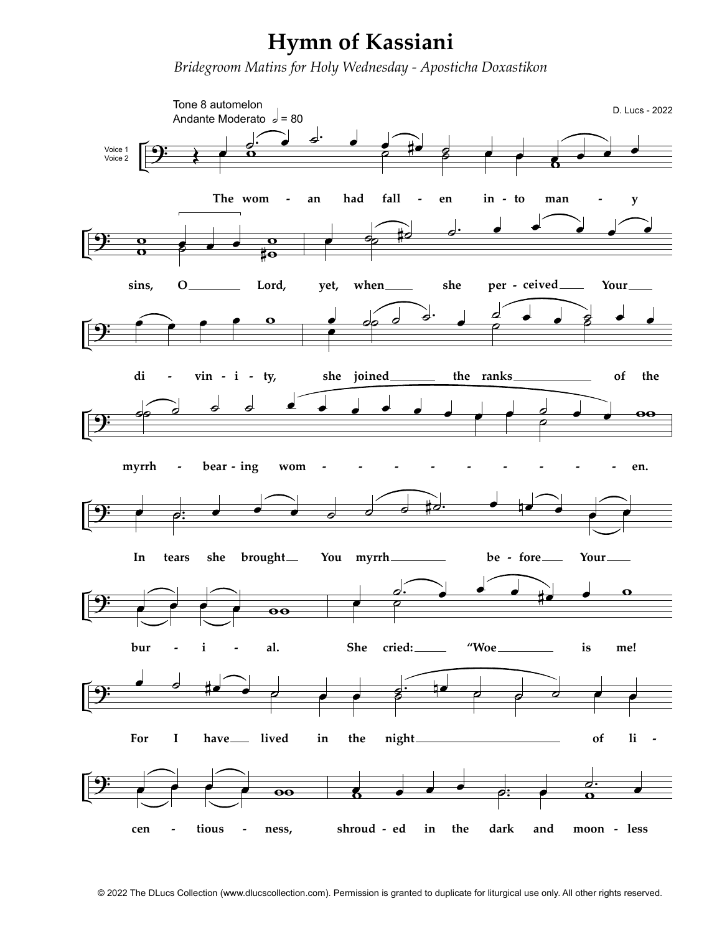## Hymn of Kassiani

Bridegroom Matins for Holy Wednesday - Aposticha Doxastikon

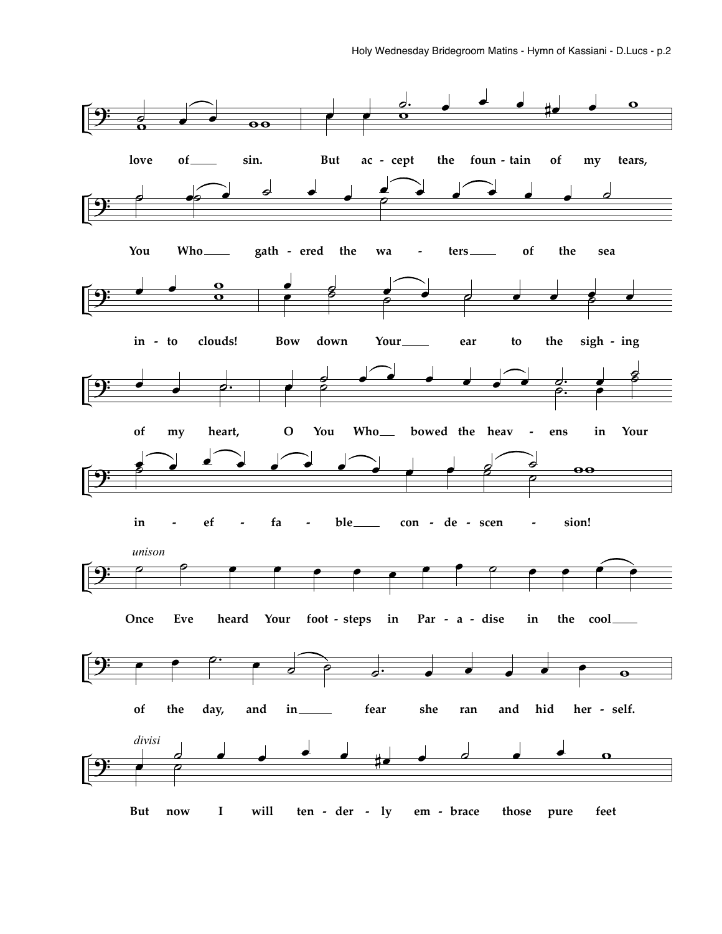